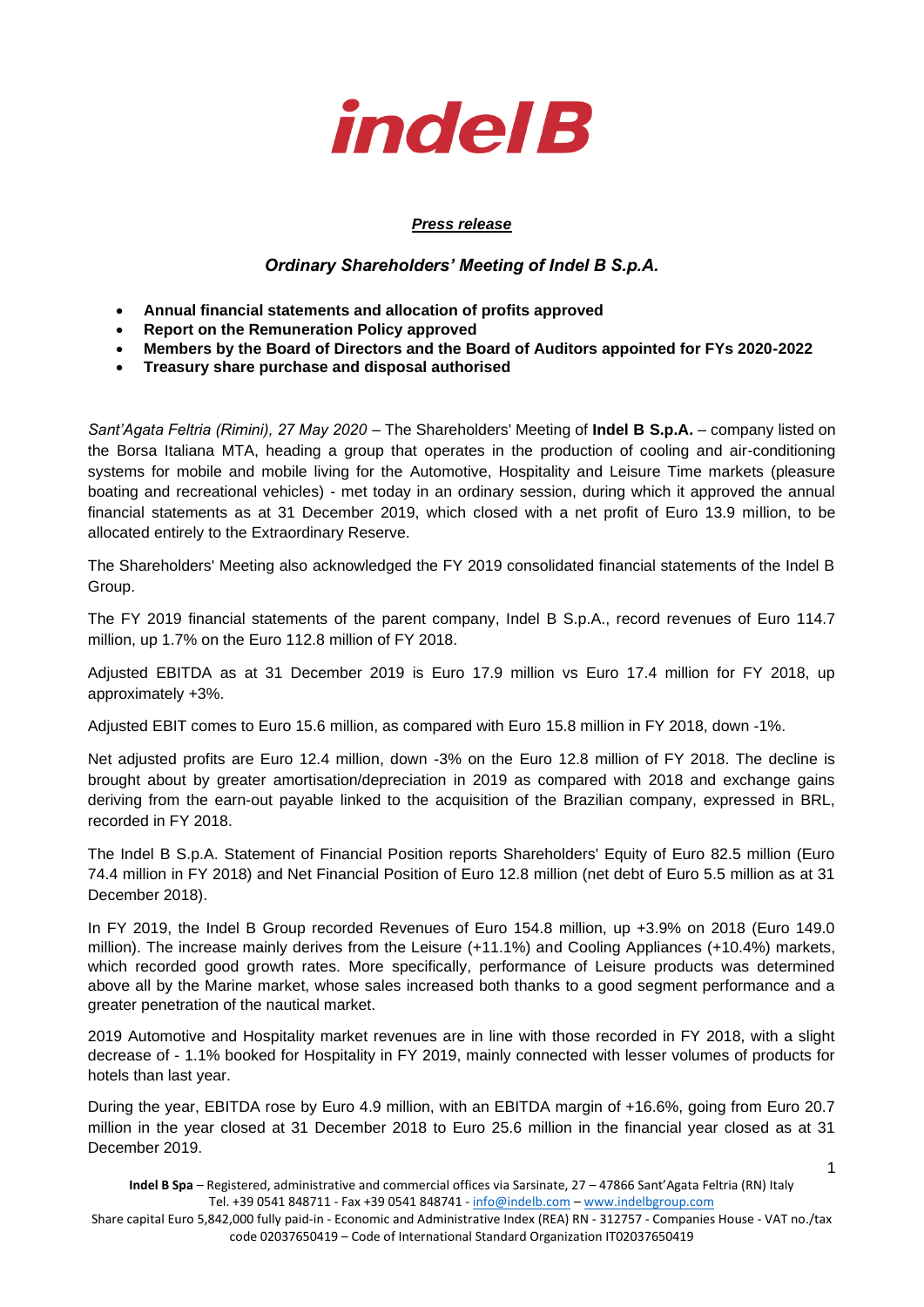

## *Press release*

# *Ordinary Shareholders' Meeting of Indel B S.p.A.*

- **Annual financial statements and allocation of profits approved**
- **Report on the Remuneration Policy approved**
- **Members by the Board of Directors and the Board of Auditors appointed for FYs 2020-2022**
- **Treasury share purchase and disposal authorised**

*Sant'Agata Feltria (Rimini), 27 May 2020* – The Shareholders' Meeting of **Indel B S.p.A.** – company listed on the Borsa Italiana MTA, heading a group that operates in the production of cooling and air-conditioning systems for mobile and mobile living for the Automotive, Hospitality and Leisure Time markets (pleasure boating and recreational vehicles) - met today in an ordinary session, during which it approved the annual financial statements as at 31 December 2019, which closed with a net profit of Euro 13.9 million, to be allocated entirely to the Extraordinary Reserve.

The Shareholders' Meeting also acknowledged the FY 2019 consolidated financial statements of the Indel B Group.

The FY 2019 financial statements of the parent company, Indel B S.p.A., record revenues of Euro 114.7 million, up 1.7% on the Euro 112.8 million of FY 2018.

Adjusted EBITDA as at 31 December 2019 is Euro 17.9 million vs Euro 17.4 million for FY 2018, up approximately +3%.

Adjusted EBIT comes to Euro 15.6 million, as compared with Euro 15.8 million in FY 2018, down -1%.

Net adjusted profits are Euro 12.4 million, down -3% on the Euro 12.8 million of FY 2018. The decline is brought about by greater amortisation/depreciation in 2019 as compared with 2018 and exchange gains deriving from the earn-out payable linked to the acquisition of the Brazilian company, expressed in BRL, recorded in FY 2018.

The Indel B S.p.A. Statement of Financial Position reports Shareholders' Equity of Euro 82.5 million (Euro 74.4 million in FY 2018) and Net Financial Position of Euro 12.8 million (net debt of Euro 5.5 million as at 31 December 2018).

In FY 2019, the Indel B Group recorded Revenues of Euro 154.8 million, up +3.9% on 2018 (Euro 149.0 million). The increase mainly derives from the Leisure (+11.1%) and Cooling Appliances (+10.4%) markets, which recorded good growth rates. More specifically, performance of Leisure products was determined above all by the Marine market, whose sales increased both thanks to a good segment performance and a greater penetration of the nautical market.

2019 Automotive and Hospitality market revenues are in line with those recorded in FY 2018, with a slight decrease of - 1.1% booked for Hospitality in FY 2019, mainly connected with lesser volumes of products for hotels than last year.

During the year, EBITDA rose by Euro 4.9 million, with an EBITDA margin of +16.6%, going from Euro 20.7 million in the year closed at 31 December 2018 to Euro 25.6 million in the financial year closed as at 31 December 2019.

Share capital Euro 5,842,000 fully paid-in - Economic and Administrative Index (REA) RN - 312757 - Companies House - VAT no./tax code 02037650419 – Code of International Standard Organization IT02037650419

1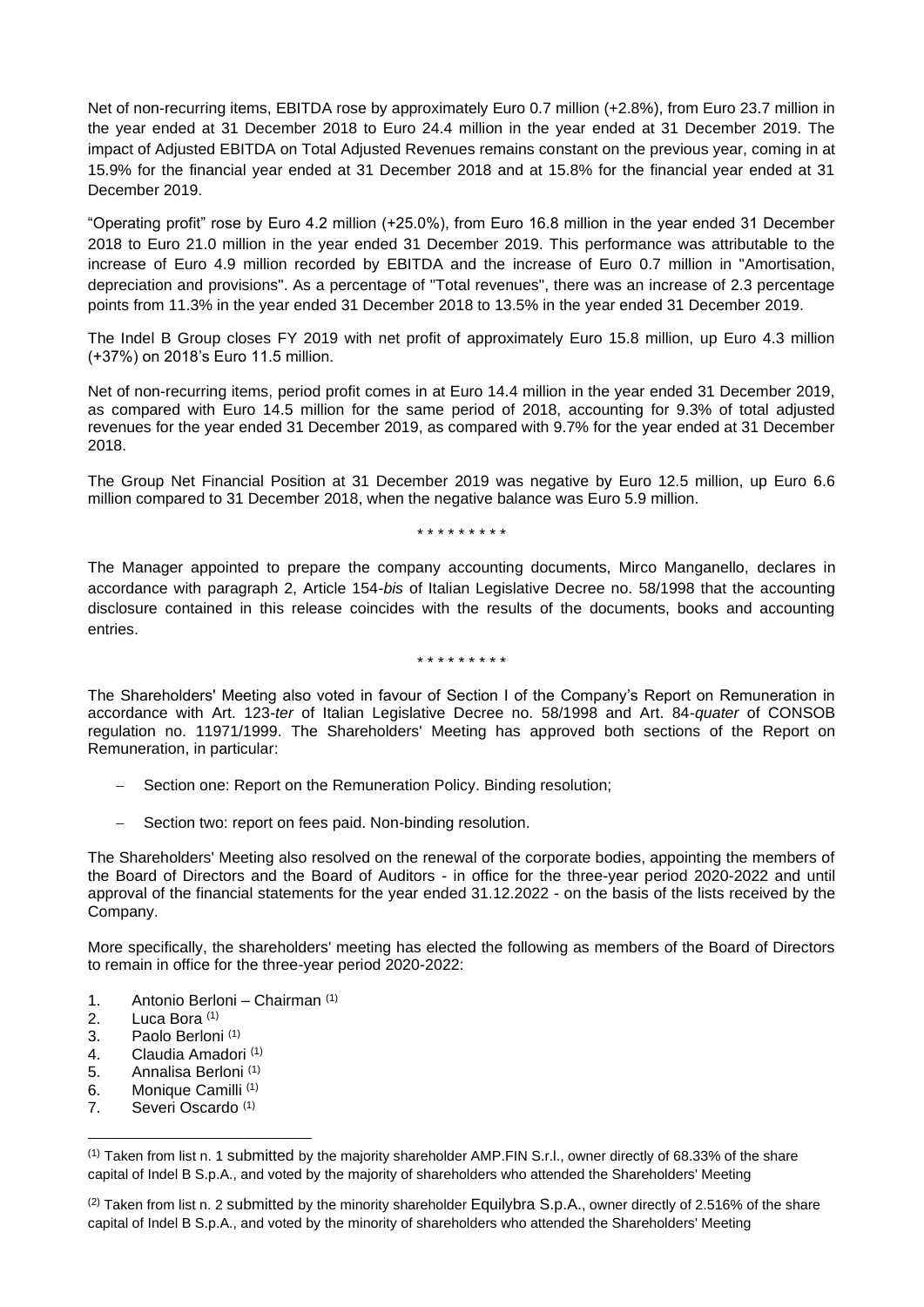Net of non-recurring items, EBITDA rose by approximately Euro 0.7 million (+2.8%), from Euro 23.7 million in the year ended at 31 December 2018 to Euro 24.4 million in the year ended at 31 December 2019. The impact of Adjusted EBITDA on Total Adjusted Revenues remains constant on the previous year, coming in at 15.9% for the financial year ended at 31 December 2018 and at 15.8% for the financial year ended at 31 December 2019.

"Operating profit" rose by Euro 4.2 million (+25.0%), from Euro 16.8 million in the year ended 31 December 2018 to Euro 21.0 million in the year ended 31 December 2019. This performance was attributable to the increase of Euro 4.9 million recorded by EBITDA and the increase of Euro 0.7 million in "Amortisation, depreciation and provisions". As a percentage of "Total revenues", there was an increase of 2.3 percentage points from 11.3% in the year ended 31 December 2018 to 13.5% in the year ended 31 December 2019.

The Indel B Group closes FY 2019 with net profit of approximately Euro 15.8 million, up Euro 4.3 million (+37%) on 2018's Euro 11.5 million.

Net of non-recurring items, period profit comes in at Euro 14.4 million in the year ended 31 December 2019, as compared with Euro 14.5 million for the same period of 2018, accounting for 9.3% of total adjusted revenues for the year ended 31 December 2019, as compared with 9.7% for the year ended at 31 December 2018.

The Group Net Financial Position at 31 December 2019 was negative by Euro 12.5 million, up Euro 6.6 million compared to 31 December 2018, when the negative balance was Euro 5.9 million.

\* \* \* \* \* \* \* \* \*

The Manager appointed to prepare the company accounting documents, Mirco Manganello, declares in accordance with paragraph 2, Article 154-*bis* of Italian Legislative Decree no. 58/1998 that the accounting disclosure contained in this release coincides with the results of the documents, books and accounting entries.

\* \* \* \* \* \* \* \* \*

The Shareholders' Meeting also voted in favour of Section I of the Company's Report on Remuneration in accordance with Art. 123-*ter* of Italian Legislative Decree no. 58/1998 and Art. 84-*quater* of CONSOB regulation no. 11971/1999. The Shareholders' Meeting has approved both sections of the Report on Remuneration, in particular:

- Section one: Report on the Remuneration Policy. Binding resolution;
- Section two: report on fees paid. Non-binding resolution.

The Shareholders' Meeting also resolved on the renewal of the corporate bodies, appointing the members of the Board of Directors and the Board of Auditors - in office for the three-year period 2020-2022 and until approval of the financial statements for the year ended 31.12.2022 - on the basis of the lists received by the Company.

More specifically, the shareholders' meeting has elected the following as members of the Board of Directors to remain in office for the three-year period 2020-2022:

- 1. Antonio Berloni Chairman (1)
- 2. Luca Bora (1)
- 3. Paolo Berloni (1)
- 4. Claudia Amadori (1)
- 5. Annalisa Berloni (1)
- 6. Monique Camilli (1)
- 7. Severi Oscardo (1)

 $(2)$  Taken from list n. 2 submitted by the minority shareholder Equilybra S.p.A., owner directly of 2.516% of the share capital of Indel B S.p.A., and voted by the minority of shareholders who attended the Shareholders' Meeting

<sup>(1)</sup> Taken from list n. 1 submitted by the majority shareholder AMP.FIN S.r.l., owner directly of 68.33% of the share capital of Indel B S.p.A., and voted by the majority of shareholders who attended the Shareholders' Meeting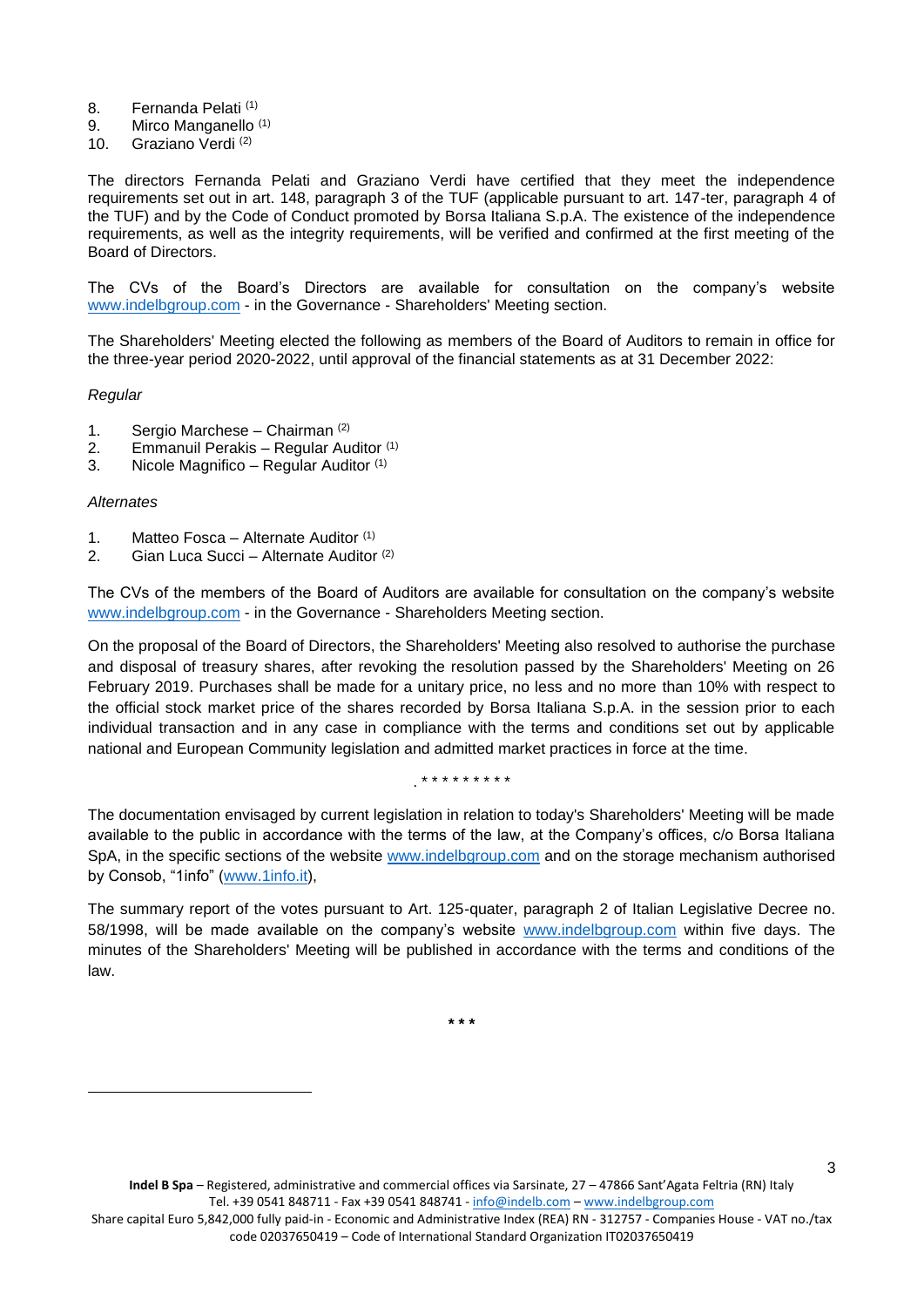- 8. Fernanda Pelati (1)
- 9. Mirco Manganello (1)
- 10. Graziano Verdi (2)

The directors Fernanda Pelati and Graziano Verdi have certified that they meet the independence requirements set out in art. 148, paragraph 3 of the TUF (applicable pursuant to art. 147-ter, paragraph 4 of the TUF) and by the Code of Conduct promoted by Borsa Italiana S.p.A. The existence of the independence requirements, as well as the integrity requirements, will be verified and confirmed at the first meeting of the Board of Directors.

The CVs of the Board's Directors are available for consultation on the company's website [www.indelbgroup.com](http://www.indelbgroup.com/) - in the Governance - Shareholders' Meeting section.

The Shareholders' Meeting elected the following as members of the Board of Auditors to remain in office for the three-year period 2020-2022, until approval of the financial statements as at 31 December 2022:

#### *Regular*

- 1. Sergio Marchese Chairman (2)
- 2. Emmanuil Perakis Regular Auditor (1)
- 3. Nicole Magnifico Regular Auditor (1)

#### *Alternates*

- 1. Matteo Fosca Alternate Auditor (1)
- 2. Gian Luca Succi Alternate Auditor <sup>(2)</sup>

The CVs of the members of the Board of Auditors are available for consultation on the company's website [www.indelbgroup.com](http://www.indelbgroup.com/) - in the Governance - Shareholders Meeting section.

On the proposal of the Board of Directors, the Shareholders' Meeting also resolved to authorise the purchase and disposal of treasury shares, after revoking the resolution passed by the Shareholders' Meeting on 26 February 2019. Purchases shall be made for a unitary price, no less and no more than 10% with respect to the official stock market price of the shares recorded by Borsa Italiana S.p.A. in the session prior to each individual transaction and in any case in compliance with the terms and conditions set out by applicable national and European Community legislation and admitted market practices in force at the time.

. \* \* \* \* \* \* \* \* \*

The documentation envisaged by current legislation in relation to today's Shareholders' Meeting will be made available to the public in accordance with the terms of the law, at the Company's offices, c/o Borsa Italiana SpA, in the specific sections of the website [www.indelbgroup.com](file:///C:/Users/ddelietovollaro/AppData/Local/Microsoft/Windows/INetCache/Content.Outlook/T87B94UR/www.indelbgroup.com) and on the storage mechanism authorised by Consob, "1info" [\(www.1info.it\)](file:///C:/Users/ddelietovollaro/AppData/Local/Microsoft/Windows/INetCache/Content.Outlook/T87B94UR/www.1info.it),

The summary report of the votes pursuant to Art. 125-quater, paragraph 2 of Italian Legislative Decree no. 58/1998, will be made available on the company's website [www.indelbgroup.com](file:///C:/Users/ddelietovollaro/AppData/Local/Microsoft/Windows/INetCache/Content.Outlook/T87B94UR/www.indelbgroup.com) within five days. The minutes of the Shareholders' Meeting will be published in accordance with the terms and conditions of the law.

**\* \* \***

3